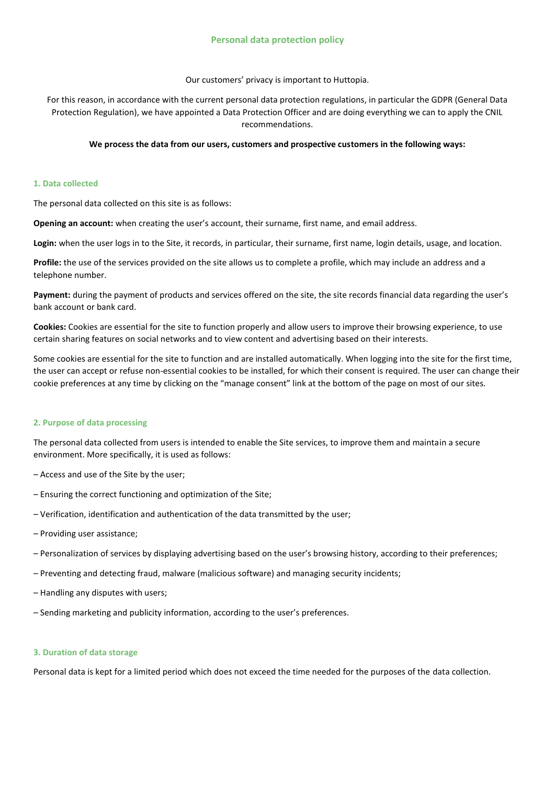Our customers' privacy is important to Huttopia.

For this reason, in accordance with the current personal data protection regulations, in particular the GDPR (General Data Protection Regulation), we have appointed a Data Protection Officer and are doing everything we can to apply the CNIL recommendations.

## **We process the data from our users, customers and prospective customers in the following ways:**

## **1. Data collected**

The personal data collected on this site is as follows:

**Opening an account:** when creating the user's account, their surname, first name, and email address.

**Login:** when the user logs in to the Site, it records, in particular, their surname, first name, login details, usage, and location.

**Profile:** the use of the services provided on the site allows us to complete a profile, which may include an address and a telephone number.

**Payment:** during the payment of products and services offered on the site, the site records financial data regarding the user's bank account or bank card.

**Cookies:** Cookies are essential for the site to function properly and allow users to improve their browsing experience, to use certain sharing features on social networks and to view content and advertising based on their interests.

Some cookies are essential for the site to function and are installed automatically. When logging into the site for the first time, the user can accept or refuse non-essential cookies to be installed, for which their consent is required. The user can change their cookie preferences at any time by clicking on the "manage consent" link at the bottom of the page on most of our sites.

# **2. Purpose of data processing**

The personal data collected from users is intended to enable the Site services, to improve them and maintain a secure environment. More specifically, it is used as follows:

- Access and use of the Site by the user;
- Ensuring the correct functioning and optimization of the Site;
- Verification, identification and authentication of the data transmitted by the user;
- Providing user assistance;
- Personalization of services by displaying advertising based on the user's browsing history, according to their preferences;
- Preventing and detecting fraud, malware (malicious software) and managing security incidents;
- Handling any disputes with users;
- Sending marketing and publicity information, according to the user's preferences.

## **3. Duration of data storage**

Personal data is kept for a limited period which does not exceed the time needed for the purposes of the data collection.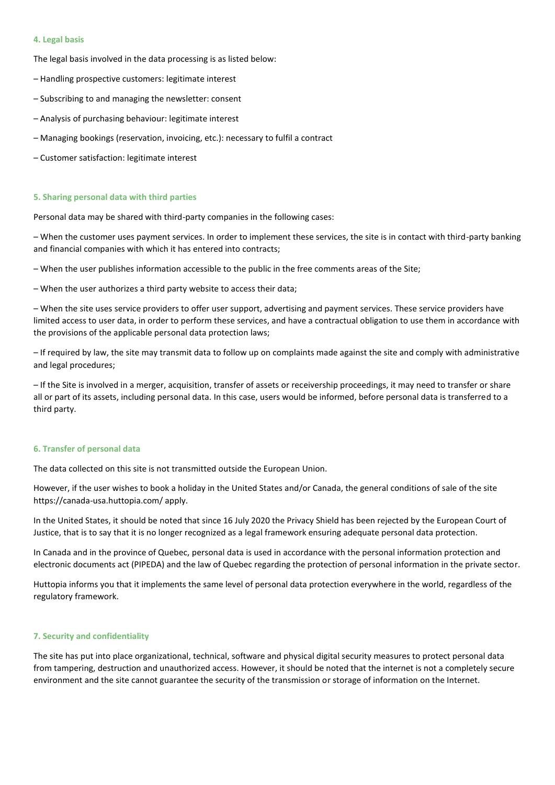#### **4. Legal basis**

The legal basis involved in the data processing is as listed below:

- Handling prospective customers: legitimate interest
- Subscribing to and managing the newsletter: consent
- Analysis of purchasing behaviour: legitimate interest
- Managing bookings (reservation, invoicing, etc.): necessary to fulfil a contract
- Customer satisfaction: legitimate interest

#### **5. Sharing personal data with third parties**

Personal data may be shared with third-party companies in the following cases:

– When the customer uses payment services. In order to implement these services, the site is in contact with third-party banking and financial companies with which it has entered into contracts;

– When the user publishes information accessible to the public in the free comments areas of the Site;

– When the user authorizes a third party website to access their data;

– When the site uses service providers to offer user support, advertising and payment services. These service providers have limited access to user data, in order to perform these services, and have a contractual obligation to use them in accordance with the provisions of the applicable personal data protection laws;

– If required by law, the site may transmit data to follow up on complaints made against the site and comply with administrative and legal procedures;

– If the Site is involved in a merger, acquisition, transfer of assets or receivership proceedings, it may need to transfer or share all or part of its assets, including personal data. In this case, users would be informed, before personal data is transferred to a third party.

#### **6. Transfer of personal data**

The data collected on this site is not transmitted outside the European Union.

However, if the user wishes to book a holiday in the United States and/or Canada, the general conditions of sale of the site https://canada-usa.huttopia.com/ apply.

In the United States, it should be noted that since 16 July 2020 the Privacy Shield has been rejected by the European Court of Justice, that is to say that it is no longer recognized as a legal framework ensuring adequate personal data protection.

In Canada and in the province of Quebec, personal data is used in accordance with the personal information protection and electronic documents act (PIPEDA) and the law of Quebec regarding the protection of personal information in the private sector.

Huttopia informs you that it implements the same level of personal data protection everywhere in the world, regardless of the regulatory framework.

#### **7. Security and confidentiality**

The site has put into place organizational, technical, software and physical digital security measures to protect personal data from tampering, destruction and unauthorized access. However, it should be noted that the internet is not a completely secure environment and the site cannot guarantee the security of the transmission or storage of information on the Internet.